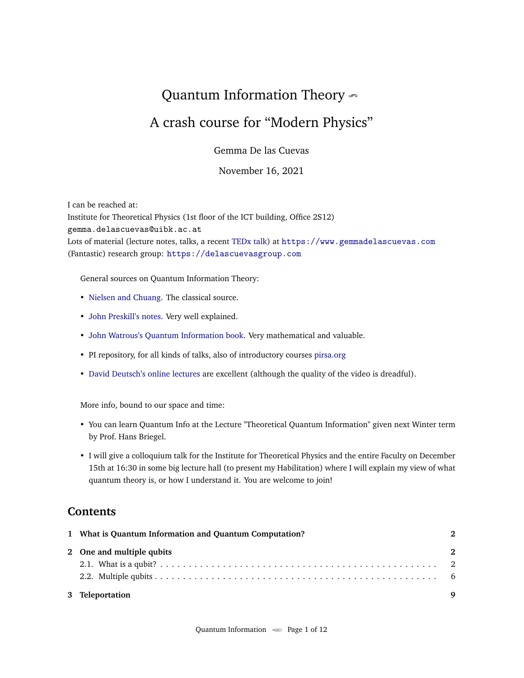# <span id="page-0-0"></span>Quantum Information Theory  $\sim$

## A crash course for "Modern Physics"

Gemma De las Cuevas

November 16, 2021

I can be reached at: Institute for Theoretical Physics (1st floor of the ICT building, Office 2S12) gemma.delascuevas@uibk.ac.at Lots of material (lecture notes, talks, a recent [TEDx talk\)](https://www.youtube.com/watch?v=0Q2gF1PImZw) at <https://www.gemmadelascuevas.com> (Fantastic) research group: <https://delascuevasgroup.com>

General sources on Quantum Information Theory:

- [Nielsen and Chuang.](http://mmrc.amss.cas.cn/tlb/201702/W020170224608149940643.pdf) The classical source.
- [John Preskill's notes.](http://theory.caltech.edu/~preskill/ph219/ph219_2018-19) Very well explained.
- [John Watrous's Quantum Information book.](https://cs.uwaterloo.ca/~watrous/TQI/) Very mathematical and valuable.
- PI repository, for all kinds of talks, also of introductory courses <pirsa.org>
- [David Deutsch's online lectures](https://www.youtube.com/watch?v=Hpblb02xGio) are excellent (although the quality of the video is dreadful).

More info, bound to our space and time:

- You can learn Quantum Info at the Lecture "Theoretical Quantum Information" given next Winter term by Prof. Hans Briegel.
- I will give a colloquium talk for the Institute for Theoretical Physics and the entire Faculty on December 15th at 16:30 in some big lecture hall (to present my Habilitation) where I will explain my view of what quantum theory is, or how I understand it. You are welcome to join!

### **Contents**

| 1 What is Quantum Information and Quantum Computation? | $\boldsymbol{\mathcal{D}}$ |
|--------------------------------------------------------|----------------------------|
| 2 One and multiple qubits                              | 2                          |
|                                                        |                            |
|                                                        |                            |
| 3 Teleportation                                        | Q                          |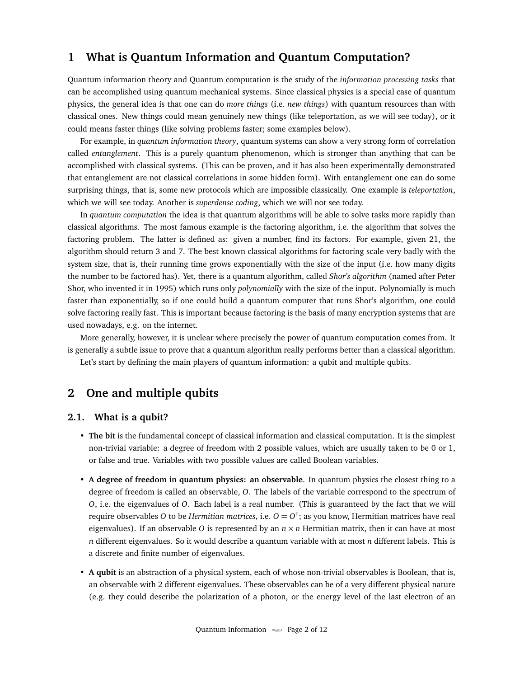#### <span id="page-1-0"></span>**1 What is Quantum Information and Quantum Computation?**

Quantum information theory and Quantum computation is the study of the *information processing tasks* that can be accomplished using quantum mechanical systems. Since classical physics is a special case of quantum physics, the general idea is that one can do *more things* (i.e. *new things*) with quantum resources than with classical ones. New things could mean genuinely new things (like teleportation, as we will see today), or it could means faster things (like solving problems faster; some examples below).

For example, in *quantum information theory*, quantum systems can show a very strong form of correlation called *entanglement*. This is a purely quantum phenomenon, which is stronger than anything that can be accomplished with classical systems. (This can be proven, and it has also been experimentally demonstrated that entanglement are not classical correlations in some hidden form). With entanglement one can do some surprising things, that is, some new protocols which are impossible classically. One example is *teleportation*, which we will see today. Another is *superdense coding*, which we will not see today.

In *quantum computation* the idea is that quantum algorithms will be able to solve tasks more rapidly than classical algorithms. The most famous example is the factoring algorithm, i.e. the algorithm that solves the factoring problem. The latter is defined as: given a number, find its factors. For example, given 21, the algorithm should return 3 and 7. The best known classical algorithms for factoring scale very badly with the system size, that is, their running time grows exponentially with the size of the input (i.e. how many digits the number to be factored has). Yet, there is a quantum algorithm, called *Shor's algorithm* (named after Peter Shor, who invented it in 1995) which runs only *polynomially* with the size of the input. Polynomially is much faster than exponentially, so if one could build a quantum computer that runs Shor's algorithm, one could solve factoring really fast. This is important because factoring is the basis of many encryption systems that are used nowadays, e.g. on the internet.

More generally, however, it is unclear where precisely the power of quantum computation comes from. It is generally a subtle issue to prove that a quantum algorithm really performs better than a classical algorithm. Let's start by defining the main players of quantum information: a qubit and multiple qubits.

#### <span id="page-1-1"></span>**2 One and multiple qubits**

#### <span id="page-1-2"></span>**2.1. What is a qubit?**

- **The bit** is the fundamental concept of classical information and classical computation. It is the simplest non-trivial variable: a degree of freedom with 2 possible values, which are usually taken to be 0 or 1, or false and true. Variables with two possible values are called Boolean variables.
- **A degree of freedom in quantum physics: an observable**. In quantum physics the closest thing to a degree of freedom is called an observable, *O*. The labels of the variable correspond to the spectrum of *O*, i.e. the eigenvalues of *O*. Each label is a real number. (This is guaranteed by the fact that we will require observables *O* to be *Hermitian matrices*, i.e. *O* = *O* † ; as you know, Hermitian matrices have real eigenvalues). If an observable *O* is represented by an  $n \times n$  Hermitian matrix, then it can have at most *n* different eigenvalues. So it would describe a quantum variable with at most *n* different labels. This is a discrete and finite number of eigenvalues.
- **A qubit** is an abstraction of a physical system, each of whose non-trivial observables is Boolean, that is, an observable with 2 different eigenvalues. These observables can be of a very different physical nature (e.g. they could describe the polarization of a photon, or the energy level of the last electron of an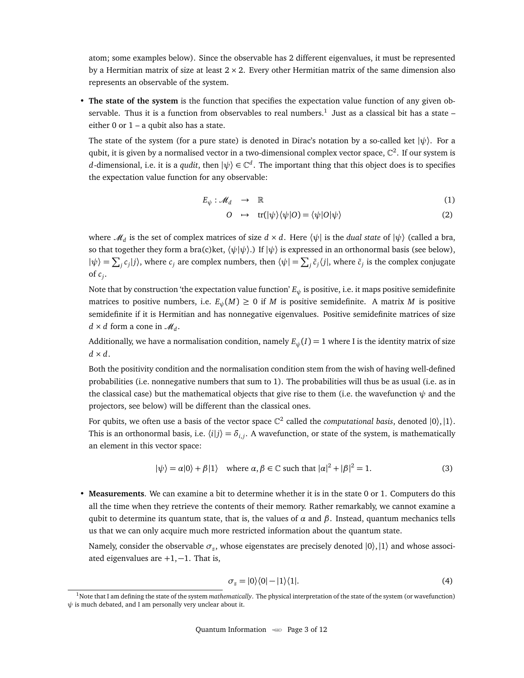atom; some examples below). Since the observable has 2 different eigenvalues, it must be represented by a Hermitian matrix of size at least  $2 \times 2$ . Every other Hermitian matrix of the same dimension also represents an observable of the system.

• **The state of the system** is the function that specifies the expectation value function of any given observable. Thus it is a function from observables to real numbers. $^1$  $^1$  Just as a classical bit has a state – either 0 or  $1 - a$  qubit also has a state.

The state of the system (for a pure state) is denoted in Dirac's notation by a so-called ket  $|\psi\rangle$ . For a qubit, it is given by a normalised vector in a two-dimensional complex vector space,  $\mathbb{C}^2.$  If our system is *d*-dimensional, i.e. it is a *qudit*, then  $|\psi\rangle \in \mathbb{C}^d$ . The important thing that this object does is to specifies the expectation value function for any observable:

$$
E_{\psi}: \mathcal{M}_d \longrightarrow \mathbb{R} \tag{1}
$$

$$
O \quad \rightarrow \quad \text{tr}(|\psi\rangle\langle\psi|O) = \langle\psi|O|\psi\rangle \tag{2}
$$

where  $\mathscr{M}_d$  is the set of complex matrices of size  $d \times d$ . Here  $\langle \psi |$  is the *dual state* of  $|\psi \rangle$  (called a bra, so that together they form a bra(c)ket,  $\langle \psi | \psi \rangle$ .) If  $| \psi \rangle$  is expressed in an orthonormal basis (see below),  $|\psi\rangle = \sum_j c_j |j\rangle$ , where  $c_j$  are complex numbers, then  $\langle \psi | = \sum_j \bar{c}_j \langle j |$ , where  $\bar{c}_j$  is the complex conjugate of *c<sup>j</sup>* .

Note that by construction 'the expectation value function' *E<sup>ψ</sup>* is positive, i.e. it maps positive semidefinite matrices to positive numbers, i.e.  $E_{\psi}(M) \geq 0$  if *M* is positive semidefinite. A matrix *M* is positive semidefinite if it is Hermitian and has nonnegative eigenvalues. Positive semidefinite matrices of size  $d \times d$  form a cone in  $\mathcal{M}_d$ .

Additionally, we have a normalisation condition, namely  $E_{\psi}(I) = 1$  where I is the identity matrix of size  $d \times d$ .

Both the positivity condition and the normalisation condition stem from the wish of having well-defined probabilities (i.e. nonnegative numbers that sum to 1). The probabilities will thus be as usual (i.e. as in the classical case) but the mathematical objects that give rise to them (i.e. the wavefunction  $\psi$  and the projectors, see below) will be different than the classical ones.

For qubits, we often use a basis of the vector space  $\mathbb{C}^2$  called the *computational basis*, denoted  $|0\rangle, |1\rangle$ . This is an orthonormal basis, i.e.  $\langle i|j\rangle = \delta_{i,j}$ . A wavefunction, or state of the system, is mathematically an element in this vector space:

$$
|\psi\rangle = \alpha|0\rangle + \beta|1\rangle \quad \text{where } \alpha, \beta \in \mathbb{C} \text{ such that } |\alpha|^2 + |\beta|^2 = 1. \tag{3}
$$

• **Measurements**. We can examine a bit to determine whether it is in the state 0 or 1. Computers do this all the time when they retrieve the contents of their memory. Rather remarkably, we cannot examine a qubit to determine its quantum state, that is, the values of  $\alpha$  and  $\beta$ . Instead, quantum mechanics tells us that we can only acquire much more restricted information about the quantum state.

Namely, consider the observable  $\sigma_z$ , whose eigenstates are precisely denoted  $|0\rangle,|1\rangle$  and whose associated eigenvalues are  $+1, -1$ . That is,

<span id="page-2-0"></span>
$$
\sigma_z = |0\rangle\langle 0| - |1\rangle\langle 1|.\tag{4}
$$

<sup>&</sup>lt;sup>1</sup>Note that I am defining the state of the system *mathematically*. The physical interpretation of the state of the system (or wavefunction)  $\psi$  is much debated, and I am personally very unclear about it.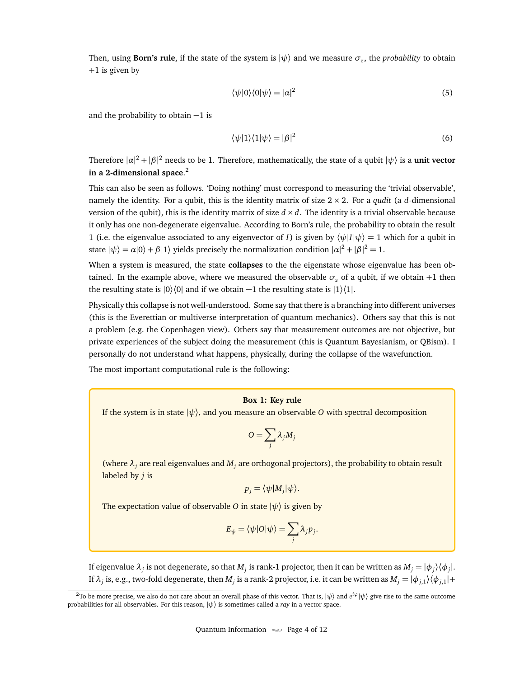Then, using **Born's rule**, if the state of the system is  $|\psi\rangle$  and we measure  $\sigma_z$ , the *probability* to obtain +1 is given by

$$
\langle \psi | 0 \rangle \langle 0 | \psi \rangle = |\alpha|^2 \tag{5}
$$

and the probability to obtain −1 is

<span id="page-3-0"></span>
$$
\langle \psi | 1 \rangle \langle 1 | \psi \rangle = |\beta|^2 \tag{6}
$$

Therefore  $|a|^2 + |\beta|^2$  needs to be 1. Therefore, mathematically, the state of a qubit  $|\psi\rangle$  is a **unit vector in a 2-dimensional space**. [2](#page-0-0)

This can also be seen as follows. 'Doing nothing' must correspond to measuring the 'trivial observable', namely the identity. For a qubit, this is the identity matrix of size 2 × 2. For a *qudit* (a *d*-dimensional version of the qubit), this is the identity matrix of size  $d \times d$ . The identity is a trivial observable because it only has one non-degenerate eigenvalue. According to Born's rule, the probability to obtain the result 1 (i.e. the eigenvalue associated to any eigenvector of *I*) is given by  $\langle \psi | I | \psi \rangle = 1$  which for a qubit in state  $|\psi\rangle = \alpha|0\rangle + \beta|1\rangle$  yields precisely the normalization condition  $|\alpha|^2 + |\beta|^2 = 1$ .

When a system is measured, the state **collapses** to the the eigenstate whose eigenvalue has been obtained. In the example above, where we measured the observable  $\sigma_z$  of a qubit, if we obtain +1 then the resulting state is  $|0\rangle\langle 0|$  and if we obtain  $-1$  the resulting state is  $|1\rangle\langle 1|$ .

Physically this collapse is not well-understood. Some say that there is a branching into different universes (this is the Everettian or multiverse interpretation of quantum mechanics). Others say that this is not a problem (e.g. the Copenhagen view). Others say that measurement outcomes are not objective, but private experiences of the subject doing the measurement (this is Quantum Bayesianism, or QBism). I personally do not understand what happens, physically, during the collapse of the wavefunction.

The most important computational rule is the following:

#### **Box 1: Key rule**

If the system is in state  $|\psi\rangle$ , and you measure an observable *O* with spectral decomposition

$$
O=\sum_j \lambda_j M_j
$$

(where  $\lambda_j$  are real eigenvalues and  $M_j$  are orthogonal projectors), the probability to obtain result labeled by *j* is

$$
p_j = \langle \psi | M_j | \psi \rangle.
$$

The expectation value of observable *O* in state  $|\psi\rangle$  is given by

$$
E_{\psi} = \langle \psi | O | \psi \rangle = \sum_{j} \lambda_{j} p_{j}.
$$

If eigenvalue  $\lambda_j$  is not degenerate, so that  $M_j$  is rank-1 projector, then it can be written as  $M_j = |\phi_j\rangle\langle\phi_j|$ . If  $\lambda_j$  is, e.g., two-fold degenerate, then  $M_j$  is a rank-2 projector, i.e. it can be written as  $M_j = |\phi_{j,1}\rangle \langle \phi_{j,1}| +$ 

<sup>&</sup>lt;sup>2</sup>To be more precise, we also do not care about an overall phase of this vector. That is,  $|\psi\rangle$  and  $e^{i\varphi}|\psi\rangle$  give rise to the same outcome probabilities for all observables. For this reason, |*ψ*〉 is sometimes called a *ray* in a vector space.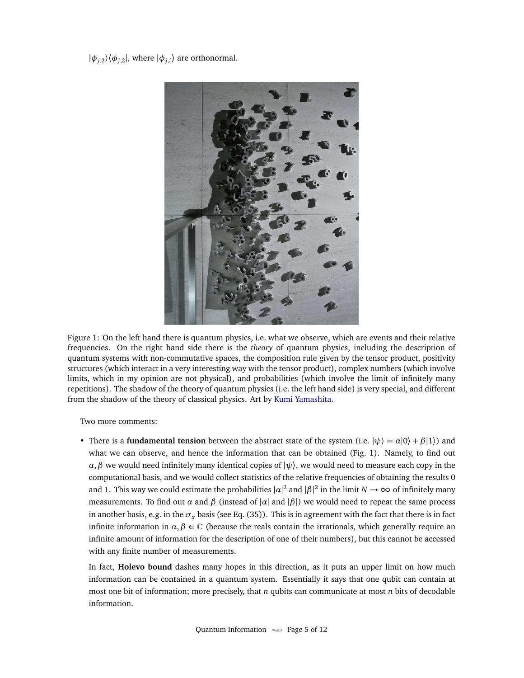<span id="page-4-0"></span> $|\phi_{j,2}\rangle\langle\phi_{j,2}|$ , where  $|\phi_{j,i}\rangle$  are orthonormal.



Figure 1: On the left hand there is quantum physics, i.e. what we observe, which are events and their relative frequencies. On the right hand side there is the *theory* of quantum physics, including the description of quantum systems with non-commutative spaces, the composition rule given by the tensor product, positivity structures (which interact in a very interesting way with the tensor product), complex numbers (which involve limits, which in my opinion are not physical), and probabilities (which involve the limit of infinitely many repetitions). The shadow of the theory of quantum physics (i.e. the left hand side) is very special, and different from the shadow of the theory of classical physics. Art by [Kumi Yamashita.](http://kumiyamashita.com)

Two more comments:

• There is a **fundamental tension** between the abstract state of the system (i.e.  $|\psi\rangle = \alpha|0\rangle + \beta|1\rangle$ ) and what we can observe, and hence the information that can be obtained (Fig. [1\)](#page-4-0). Namely, to find out *α*, *β* we would need infinitely many identical copies of  $|\psi\rangle$ , we would need to measure each copy in the computational basis, and we would collect statistics of the relative frequencies of obtaining the results 0 and 1. This way we could estimate the probabilities  $|\alpha|^2$  and  $|\beta|^2$  in the limit  $N \to \infty$  of infinitely many measurements. To find out  $\alpha$  and  $\beta$  (instead of |*α*| and | $\beta$ |) we would need to repeat the same process in another basis, e.g. in the  $\sigma_x$  basis (see Eq. [\(35\)](#page-9-0)). This is in agreement with the fact that there is in fact infinite information in  $\alpha, \beta \in \mathbb{C}$  (because the reals contain the irrationals, which generally require an infinite amount of information for the description of one of their numbers), but this cannot be accessed with any finite number of measurements.

In fact, **Holevo bound** dashes many hopes in this direction, as it puts an upper limit on how much information can be contained in a quantum system. Essentially it says that one qubit can contain at most one bit of information; more precisely, that *n* qubits can communicate at most *n* bits of decodable information.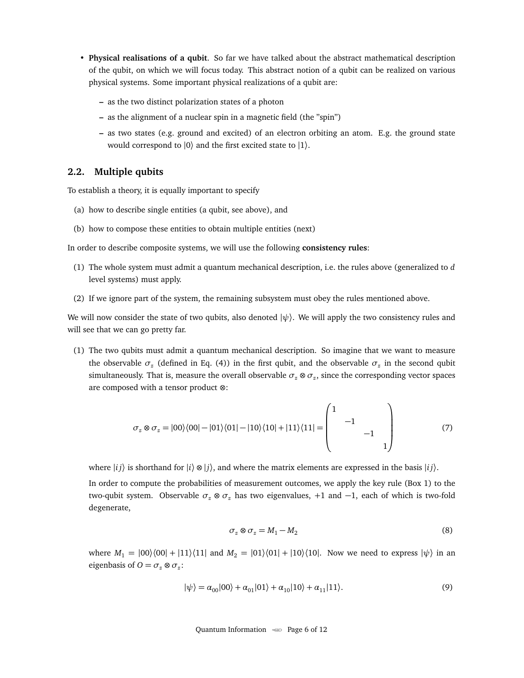- **Physical realisations of a qubit**. So far we have talked about the abstract mathematical description of the qubit, on which we will focus today. This abstract notion of a qubit can be realized on various physical systems. Some important physical realizations of a qubit are:
	- **–** as the two distinct polarization states of a photon
	- **–** as the alignment of a nuclear spin in a magnetic field (the "spin")
	- **–** as two states (e.g. ground and excited) of an electron orbiting an atom. E.g. the ground state would correspond to  $|0\rangle$  and the first excited state to  $|1\rangle$ .

#### <span id="page-5-0"></span>**2.2. Multiple qubits**

To establish a theory, it is equally important to specify

- (a) how to describe single entities (a qubit, see above), and
- (b) how to compose these entities to obtain multiple entities (next)

In order to describe composite systems, we will use the following **consistency rules**:

- (1) The whole system must admit a quantum mechanical description, i.e. the rules above (generalized to *d* level systems) must apply.
- (2) If we ignore part of the system, the remaining subsystem must obey the rules mentioned above.

We will now consider the state of two qubits, also denoted  $|\psi\rangle$ . We will apply the two consistency rules and will see that we can go pretty far.

(1) The two qubits must admit a quantum mechanical description. So imagine that we want to measure the observable  $\sigma_z$  (defined in Eq. [\(4\)](#page-2-0)) in the first qubit, and the observable  $\sigma_z$  in the second qubit simultaneously. That is, measure the overall observable  $\sigma_z \otimes \sigma_z$ , since the corresponding vector spaces are composed with a tensor product ⊗:

$$
\sigma_z \otimes \sigma_z = |00\rangle\langle 00| - |01\rangle\langle 01| - |10\rangle\langle 10| + |11\rangle\langle 11| = \begin{pmatrix} 1 & & & \\ & -1 & & \\ & & & -1 & \\ & & & & 1 \end{pmatrix} \tag{7}
$$

where  $|i j \rangle$  is shorthand for  $|i \rangle \otimes |j \rangle$ , and where the matrix elements are expressed in the basis  $|i j \rangle$ .

In order to compute the probabilities of measurement outcomes, we apply the key rule [\(Box 1\)](#page-3-0) to the two-qubit system. Observable *σ<sup>z</sup>* ⊗ *σ<sup>z</sup>* has two eigenvalues, +1 and −1, each of which is two-fold degenerate,

$$
\sigma_z \otimes \sigma_z = M_1 - M_2 \tag{8}
$$

where  $M_1 = |00\rangle\langle00| + |11\rangle\langle11|$  and  $M_2 = |01\rangle\langle01| + |10\rangle\langle10|$ . Now we need to express  $|\psi\rangle$  in an eigenbasis of  $O = \sigma_z \otimes \sigma_z$ :

<span id="page-5-1"></span>
$$
|\psi\rangle = \alpha_{00}|00\rangle + \alpha_{01}|01\rangle + \alpha_{10}|10\rangle + \alpha_{11}|11\rangle. \tag{9}
$$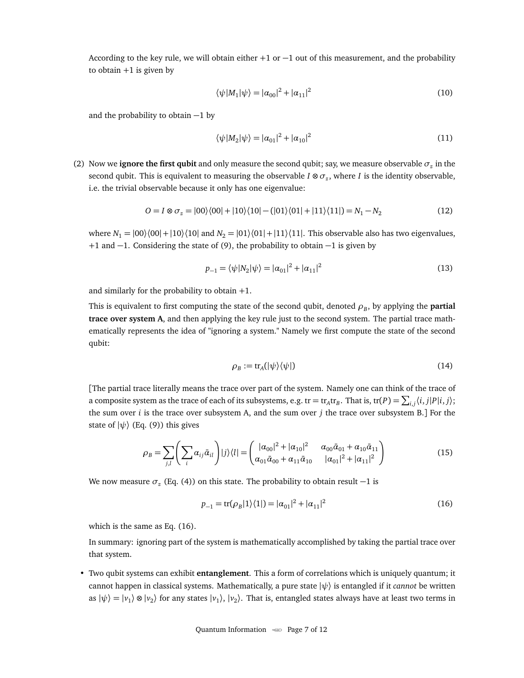According to the key rule, we will obtain either  $+1$  or  $-1$  out of this measurement, and the probability to obtain  $+1$  is given by

$$
\langle \psi | M_1 | \psi \rangle = | \alpha_{00} |^2 + | \alpha_{11} |^2 \tag{10}
$$

and the probability to obtain −1 by

$$
\langle \psi | M_2 | \psi \rangle = |\alpha_{01}|^2 + |\alpha_{10}|^2 \tag{11}
$$

(2) Now we **ignore the first qubit** and only measure the second qubit; say, we measure observable  $\sigma$ <sub>*z*</sub> in the second qubit. This is equivalent to measuring the observable *I* ⊗ *σ<sup>z</sup>* , where *I* is the identity observable, i.e. the trivial observable because it only has one eigenvalue:

$$
O = I \otimes \sigma_z = |00\rangle\langle00| + |10\rangle\langle10| - (|01\rangle\langle01| + |11\rangle\langle11|) = N_1 - N_2
$$
\n(12)

where  $N_1 = |00\rangle\langle00| + |10\rangle\langle10|$  and  $N_2 = |01\rangle\langle01| + |11\rangle\langle11|$ . This observable also has two eigenvalues, +1 and −1. Considering the state of [\(9\)](#page-5-1), the probability to obtain −1 is given by

$$
p_{-1} = \langle \psi | N_2 | \psi \rangle = |\alpha_{01}|^2 + |\alpha_{11}|^2 \tag{13}
$$

and similarly for the probability to obtain  $+1$ .

This is equivalent to first computing the state of the second qubit, denoted  $\rho_{B}$ , by applying the **partial trace over system A**, and then applying the key rule just to the second system. The partial trace mathematically represents the idea of "ignoring a system." Namely we first compute the state of the second qubit:

$$
\rho_B := \text{tr}_A(|\psi\rangle\langle\psi|) \tag{14}
$$

[The partial trace literally means the trace over part of the system. Namely one can think of the trace of a composite system as the trace of each of its subsystems, e.g. tr = tr<sub>A</sub>tr<sub>B</sub>. That is, tr(*P*) =  $\sum_{i,j} \langle i,j|P|i,j\rangle;$ the sum over *i* is the trace over subsystem A, and the sum over *j* the trace over subsystem B.] For the state of  $|\psi\rangle$  (Eq. [\(9\)](#page-5-1)) this gives

$$
\rho_B = \sum_{j,l} \left( \sum_i \alpha_{ij} \bar{\alpha}_{il} \right) |j\rangle\langle l| = \begin{pmatrix} |\alpha_{00}|^2 + |\alpha_{10}|^2 & \alpha_{00} \bar{\alpha}_{01} + \alpha_{10} \bar{\alpha}_{11} \\ \alpha_{01} \bar{\alpha}_{00} + \alpha_{11} \bar{\alpha}_{10} & |\alpha_{01}|^2 + |\alpha_{11}|^2 \end{pmatrix}
$$
(15)

We now measure *σ<sup>z</sup>* (Eq. [\(4\)](#page-2-0)) on this state. The probability to obtain result −1 is

<span id="page-6-0"></span>
$$
p_{-1} = \text{tr}(\rho_B|1\rangle\langle 1|) = |\alpha_{01}|^2 + |\alpha_{11}|^2 \tag{16}
$$

which is the same as Eq. [\(16\)](#page-6-0).

In summary: ignoring part of the system is mathematically accomplished by taking the partial trace over that system.

• Two qubit systems can exhibit **entanglement**. This a form of correlations which is uniquely quantum; it cannot happen in classical systems. Mathematically, a pure state |*ψ*〉 is entangled if it *cannot* be written as  $|\psi\rangle = |\nu_1\rangle \otimes |\nu_2\rangle$  for any states  $|\nu_1\rangle$ ,  $|\nu_2\rangle$ . That is, entangled states always have at least two terms in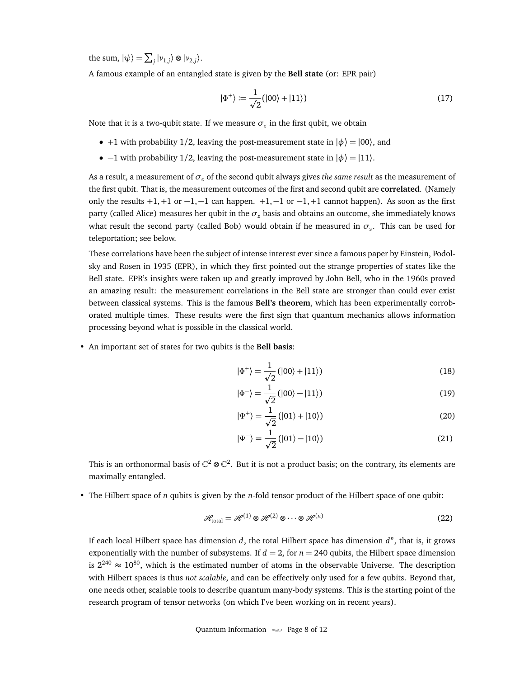the sum,  $|\psi\rangle = \sum_j |\nu_{1,j}\rangle \otimes |\nu_{2,j}\rangle$ .

A famous example of an entangled state is given by the **Bell state** (or: EPR pair)

$$
|\Phi^+\rangle := \frac{1}{\sqrt{2}}(|00\rangle + |11\rangle)
$$
\n(17)

Note that it is a two-qubit state. If we measure  $\sigma_z$  in the first qubit, we obtain

- +1 with probability 1/2, leaving the post-measurement state in  $|\phi\rangle = |00\rangle$ , and
- $-1$  with probability 1/2, leaving the post-measurement state in  $|\phi\rangle = |11\rangle$ .

As a result, a measurement of *σ<sup>z</sup>* of the second qubit always gives *the same result* as the measurement of the first qubit. That is, the measurement outcomes of the first and second qubit are **correlated**. (Namely only the results  $+1$ ,  $+1$  or  $-1$ ,  $-1$  can happen.  $+1$ ,  $-1$  or  $-1$ ,  $+1$  cannot happen). As soon as the first party (called Alice) measures her qubit in the  $\sigma$ <sub>*z*</sub> basis and obtains an outcome, she immediately knows what result the second party (called Bob) would obtain if he measured in  $\sigma_z$ . This can be used for teleportation; see below.

These correlations have been the subject of intense interest ever since a famous paper by Einstein, Podolsky and Rosen in 1935 (EPR), in which they first pointed out the strange properties of states like the Bell state. EPR's insights were taken up and greatly improved by John Bell, who in the 1960s proved an amazing result: the measurement correlations in the Bell state are stronger than could ever exist between classical systems. This is the famous **Bell's theorem**, which has been experimentally corroborated multiple times. These results were the first sign that quantum mechanics allows information processing beyond what is possible in the classical world.

• An important set of states for two qubits is the **Bell basis**:

$$
|\Phi^+\rangle = \frac{1}{\sqrt{2}} (|00\rangle + |11\rangle) \tag{18}
$$

$$
|\Phi^-\rangle = \frac{1}{\sqrt{2}} (|00\rangle - |11\rangle) \tag{19}
$$

$$
|\Psi^+\rangle = \frac{1}{\sqrt{2}} (|01\rangle + |10\rangle) \tag{20}
$$

$$
|\Psi^{-}\rangle = \frac{1}{\sqrt{2}} (|01\rangle - |10\rangle)
$$
 (21)

This is an orthonormal basis of  $\mathbb{C}^2 \otimes \mathbb{C}^2$ . But it is not a product basis; on the contrary, its elements are maximally entangled.

• The Hilbert space of *n* qubits is given by the *n*-fold tensor product of the Hilbert space of one qubit:

$$
\mathcal{H}_{\text{total}} = \mathcal{H}^{(1)} \otimes \mathcal{H}^{(2)} \otimes \cdots \otimes \mathcal{H}^{(n)} \tag{22}
$$

If each local Hilbert space has dimension *d*, the total Hilbert space has dimension *d n* , that is, it grows exponentially with the number of subsystems. If  $d = 2$ , for  $n = 240$  qubits, the Hilbert space dimension is  $2^{240} \approx 10^{80}$ , which is the estimated number of atoms in the observable Universe. The description with Hilbert spaces is thus *not scalable*, and can be effectively only used for a few qubits. Beyond that, one needs other, scalable tools to describe quantum many-body systems. This is the starting point of the research program of tensor networks (on which I've been working on in recent years).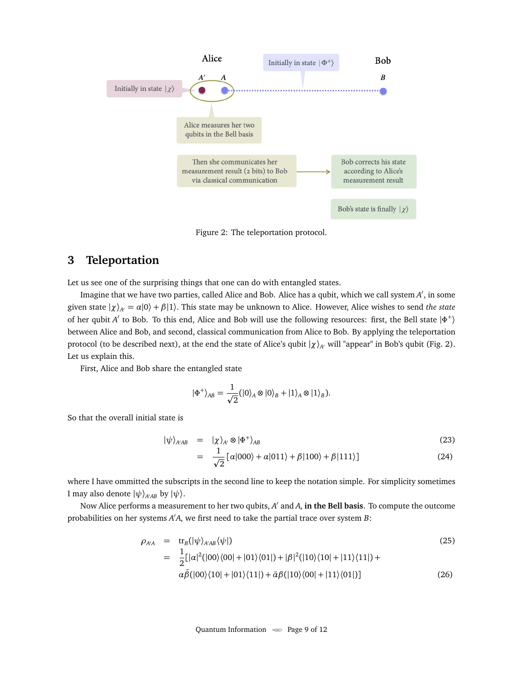<span id="page-8-1"></span>

Figure 2: The teleportation protocol.

#### <span id="page-8-0"></span>**3 Teleportation**

Let us see one of the surprising things that one can do with entangled states.

Imagine that we have two parties, called Alice and Bob. Alice has a qubit, which we call system A', in some given state  $|\chi\rangle_{A'} = \alpha|0\rangle + \beta|1\rangle$ . This state may be unknown to Alice. However, Alice wishes to send *the state* of her qubit *A'* to Bob. To this end, Alice and Bob will use the following resources: first, the Bell state  $|\Phi^+\rangle$ between Alice and Bob, and second, classical communication from Alice to Bob. By applying the teleportation protocol (to be described next), at the end the state of Alice's qubit  $|\chi\rangle_A$  will "appear" in Bob's qubit (Fig. [2\)](#page-8-1). Let us explain this.

First, Alice and Bob share the entangled state

$$
|\Phi^+\rangle_{AB} = \frac{1}{\sqrt{2}} (|0\rangle_A \otimes |0\rangle_B + |1\rangle_A \otimes |1\rangle_B).
$$

So that the overall initial state is

$$
|\psi\rangle_{A'AB} = |\chi\rangle_{A'} \otimes |\Phi^+\rangle_{AB}
$$
\n(23)

$$
= \frac{1}{\sqrt{2}} [\alpha|000\rangle + \alpha|011\rangle + \beta|100\rangle + \beta|111\rangle]
$$
 (24)

where I have ommitted the subscripts in the second line to keep the notation simple. For simplicity sometimes I may also denote  $|\psi\rangle_{A\setminus AB}$  by  $|\psi\rangle$ .

Now Alice performs a measurement to her two qubits, *A'* and *A*, in the Bell basis. To compute the outcome probabilities on her systems  $A'A$ , we first need to take the partial trace over system *B*:

<span id="page-8-2"></span>
$$
\rho_{A'A} = \text{tr}_{B}(|\psi\rangle_{A'AB} \langle \psi|)
$$
\n
$$
= \frac{1}{2} [|\alpha|^{2} (|00\rangle\langle 00| + |01\rangle\langle 01|) + |\beta|^{2} (|10\rangle\langle 10| + |11\rangle\langle 11|) +
$$
\n
$$
\alpha \bar{\beta} (|00\rangle\langle 10| + |01\rangle\langle 11|) + \bar{\alpha} \beta (|10\rangle\langle 00| + |11\rangle\langle 01|)]
$$
\n(26)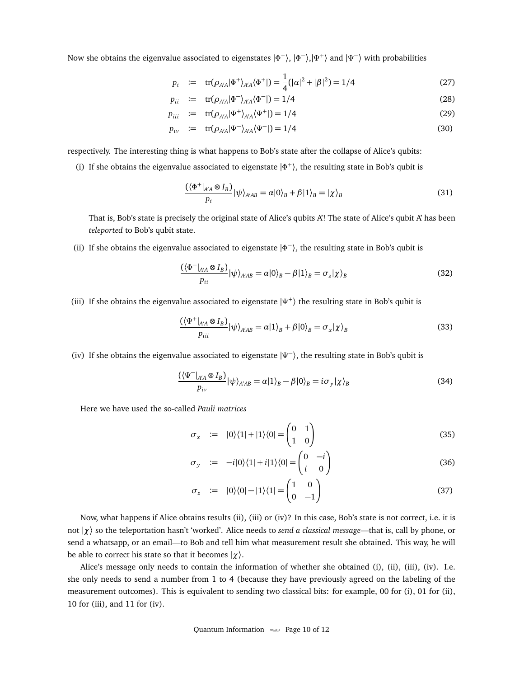Now she obtains the eigenvalue associated to eigenstates |Φ<sup>+</sup>), |Φ<sup>−</sup>),|Ψ<sup>+</sup>) and |Ψ<sup>−</sup>) with probabilities

$$
p_i := \text{tr}(\rho_{A'A}|\Phi^+\rangle_{A'A} \langle \Phi^+|) = \frac{1}{4} (|\alpha|^2 + |\beta|^2) = 1/4
$$
 (27)

$$
p_{ii} \quad := \quad \text{tr}(\rho_{A/A}|\Phi^{-}\rangle_{A/A}\langle\Phi^{-}|) = 1/4 \tag{28}
$$

$$
p_{iii} \quad := \quad \text{tr}(\rho_{A'A}|\Psi^+\rangle_{A'A}\langle\Psi^+|) = 1/4 \tag{29}
$$

$$
p_{iv} := \text{tr}(\rho_{A/A}|\Psi^{-}\rangle_{A/A}\langle\Psi^{-}|) = 1/4
$$
\n(30)

respectively. The interesting thing is what happens to Bob's state after the collapse of Alice's qubits:

(i) If she obtains the eigenvalue associated to eigenstate  $|\Phi^+\rangle$ , the resulting state in Bob's qubit is

$$
\frac{(\langle \Phi^+|_{A'A} \otimes I_B)}{p_i} |\psi\rangle_{A'AB} = \alpha |0\rangle_B + \beta |1\rangle_B = |\chi\rangle_B \tag{31}
$$

That is, Bob's state is precisely the original state of Alice's qubits A'! The state of Alice's qubit A' has been *teleported* to Bob's qubit state.

(ii) If she obtains the eigenvalue associated to eigenstate  $|\Phi^-\rangle$ , the resulting state in Bob's qubit is

$$
\frac{(\langle \Phi^-|_{A'A} \otimes I_B)}{p_{ii}} |\psi\rangle_{A'AB} = \alpha |0\rangle_B - \beta |1\rangle_B = \sigma_z |\chi\rangle_B \tag{32}
$$

(iii) If she obtains the eigenvalue associated to eigenstate |*Ψ* + 〉 the resulting state in Bob's qubit is

$$
\frac{\left(\left\langle \Psi^{+}\right|_{A'A}\otimes I_{B}\right)}{p_{iii}}|\psi\rangle_{A'AB} = \alpha|1\rangle_{B} + \beta|0\rangle_{B} = \sigma_{x}|\chi\rangle_{B}
$$
\n(33)

(iv) If she obtains the eigenvalue associated to eigenstate |*Ψ* − 〉, the resulting state in Bob's qubit is

$$
\frac{(\langle \Psi^{-} \vert_{A'A} \otimes I_B)}{p_{iv}} \vert \psi \rangle_{A'AB} = \alpha \vert 1 \rangle_B - \beta \vert 0 \rangle_B = i \sigma_y \vert \chi \rangle_B \tag{34}
$$

Here we have used the so-called *Pauli matrices*

<span id="page-9-0"></span>
$$
\sigma_x := |0\rangle\langle 1| + |1\rangle\langle 0| = \begin{pmatrix} 0 & 1 \\ 1 & 0 \end{pmatrix} \tag{35}
$$

$$
\sigma_y \quad := \quad -i|0\rangle\langle 1| + i|1\rangle\langle 0| = \begin{pmatrix} 0 & -i \\ i & 0 \end{pmatrix} \tag{36}
$$

$$
\sigma_z := |0\rangle\langle 0| - |1\rangle\langle 1| = \begin{pmatrix} 1 & 0 \\ 0 & -1 \end{pmatrix} \tag{37}
$$

Now, what happens if Alice obtains results (ii), (iii) or (iv)? In this case, Bob's state is not correct, i.e. it is not |*χ*〉 so the teleportation hasn't 'worked'. Alice needs to *send a classical message*—that is, call by phone, or send a whatsapp, or an email—to Bob and tell him what measurement result she obtained. This way, he will be able to correct his state so that it becomes |*χ*〉.

Alice's message only needs to contain the information of whether she obtained (i), (ii), (iii), (iv). I.e. she only needs to send a number from 1 to 4 (because they have previously agreed on the labeling of the measurement outcomes). This is equivalent to sending two classical bits: for example, 00 for (i), 01 for (ii), 10 for (iii), and 11 for (iv).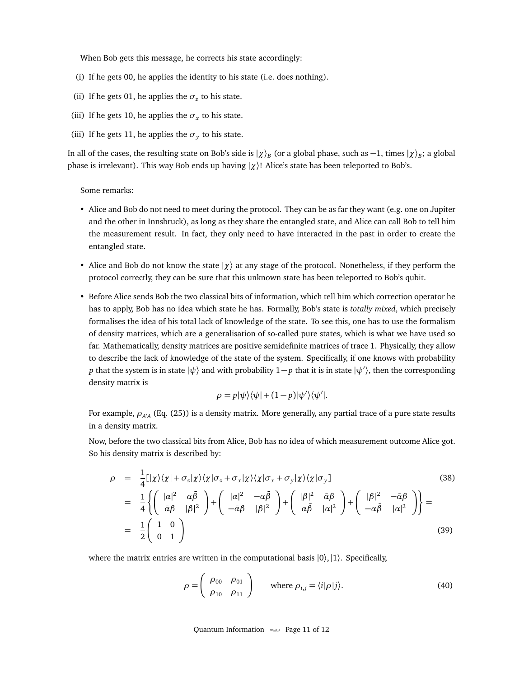When Bob gets this message, he corrects his state accordingly:

- (i) If he gets 00, he applies the identity to his state (i.e. does nothing).
- (ii) If he gets 01, he applies the  $\sigma$ <sub>z</sub> to his state.
- (iii) If he gets 10, he applies the  $\sigma_x$  to his state.
- (iii) If he gets 11, he applies the  $\sigma_y$  to his state.

In all of the cases, the resulting state on Bob's side is  $|\chi\rangle_B$  (or a global phase, such as  $-1$ , times  $|\chi\rangle_B$ ; a global phase is irrelevant). This way Bob ends up having |*χ*〉! Alice's state has been teleported to Bob's.

Some remarks:

- Alice and Bob do not need to meet during the protocol. They can be as far they want (e.g. one on Jupiter and the other in Innsbruck), as long as they share the entangled state, and Alice can call Bob to tell him the measurement result. In fact, they only need to have interacted in the past in order to create the entangled state.
- Alice and Bob do not know the state |*χ*〉 at any stage of the protocol. Nonetheless, if they perform the protocol correctly, they can be sure that this unknown state has been teleported to Bob's qubit.
- Before Alice sends Bob the two classical bits of information, which tell him which correction operator he has to apply, Bob has no idea which state he has. Formally, Bob's state is *totally mixed*, which precisely formalises the idea of his total lack of knowledge of the state. To see this, one has to use the formalism of density matrices, which are a generalisation of so-called pure states, which is what we have used so far. Mathematically, density matrices are positive semidefinite matrices of trace 1. Physically, they allow to describe the lack of knowledge of the state of the system. Specifically, if one knows with probability *p* that the system is in state  $|\psi\rangle$  and with probability  $1-p$  that it is in state  $|\psi'\rangle$ , then the corresponding density matrix is

$$
\rho = p|\psi\rangle\langle\psi| + (1-p)|\psi'\rangle\langle\psi'|.
$$

For example,  $\rho_{\rm\scriptscriptstyle A/A}$  (Eq. [\(25\)](#page-8-2)) is a density matrix. More generally, any partial trace of a pure state results in a density matrix.

Now, before the two classical bits from Alice, Bob has no idea of which measurement outcome Alice got. So his density matrix is described by:

$$
\rho = \frac{1}{4} [|\chi\rangle\langle\chi| + \sigma_z |\chi\rangle\langle\chi| \sigma_z + \sigma_x |\chi\rangle\langle\chi| \sigma_x + \sigma_y |\chi\rangle\langle\chi| \sigma_y]
$$
\n
$$
= \frac{1}{4} \left\{ \begin{pmatrix} |\alpha|^2 & \alpha\bar{\beta} \\ \bar{\alpha}\beta & |\beta|^2 \end{pmatrix} + \begin{pmatrix} |\alpha|^2 & -\alpha\bar{\beta} \\ -\bar{\alpha}\beta & |\beta|^2 \end{pmatrix} + \begin{pmatrix} |\beta|^2 & \bar{\alpha}\beta \\ \alpha\bar{\beta} & |\alpha|^2 \end{pmatrix} + \begin{pmatrix} |\beta|^2 & -\bar{\alpha}\beta \\ -\alpha\bar{\beta} & |\alpha|^2 \end{pmatrix} \right\} =
$$
\n
$$
= \frac{1}{2} \begin{pmatrix} 1 & 0 \\ 0 & 1 \end{pmatrix}
$$
\n(39)

where the matrix entries are written in the computational basis  $|0\rangle,|1\rangle$ . Specifically,

<span id="page-10-0"></span>
$$
\rho = \begin{pmatrix} \rho_{00} & \rho_{01} \\ \rho_{10} & \rho_{11} \end{pmatrix} \quad \text{where } \rho_{i,j} = \langle i|\rho|j\rangle.
$$
 (40)

Quantum Information  $\infty$  Page 11 of [12](#page-10-0)